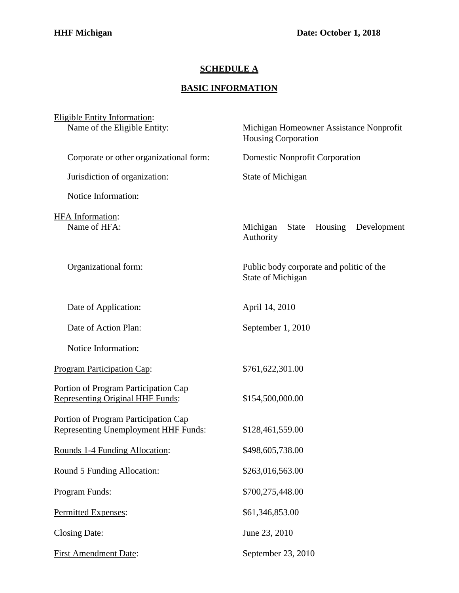## **SCHEDULE A**

## **BASIC INFORMATION**

| <b>Eligible Entity Information:</b>                                             |                                                                       |
|---------------------------------------------------------------------------------|-----------------------------------------------------------------------|
| Name of the Eligible Entity:                                                    | Michigan Homeowner Assistance Nonprofit<br><b>Housing Corporation</b> |
| Corporate or other organizational form:                                         | Domestic Nonprofit Corporation                                        |
| Jurisdiction of organization:                                                   | State of Michigan                                                     |
| Notice Information:                                                             |                                                                       |
| HFA Information:<br>Name of HFA:                                                | Michigan<br>Housing<br>State<br>Development<br>Authority              |
| Organizational form:                                                            | Public body corporate and politic of the<br>State of Michigan         |
| Date of Application:                                                            | April 14, 2010                                                        |
| Date of Action Plan:                                                            | September 1, 2010                                                     |
| Notice Information:                                                             |                                                                       |
| <b>Program Participation Cap:</b>                                               | \$761,622,301.00                                                      |
| Portion of Program Participation Cap<br><b>Representing Original HHF Funds:</b> | \$154,500,000.00                                                      |
| Portion of Program Participation Cap<br>Representing Unemployment HHF Funds:    | \$128,461,559.00                                                      |
| Rounds 1-4 Funding Allocation:                                                  | \$498,605,738.00                                                      |
| Round 5 Funding Allocation:                                                     | \$263,016,563.00                                                      |
| Program Funds:                                                                  | \$700,275,448.00                                                      |
| Permitted Expenses:                                                             | \$61,346,853.00                                                       |
| <b>Closing Date:</b>                                                            | June 23, 2010                                                         |
| <b>First Amendment Date:</b>                                                    | September 23, 2010                                                    |